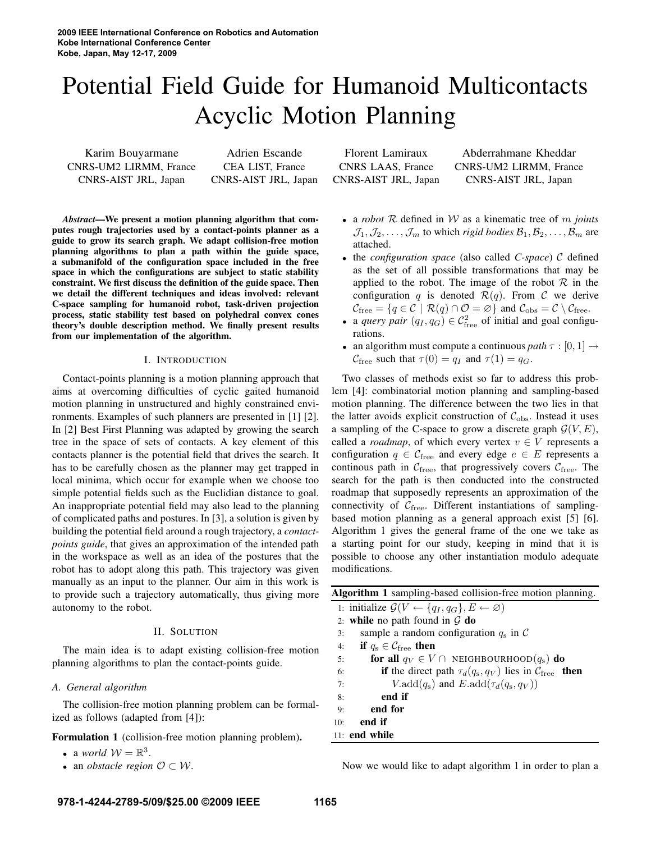# Potential Field Guide for Humanoid Multicontacts Acyclic Motion Planning

Karim Bouyarmane CNRS-UM2 LIRMM, France CNRS-AIST JRL, Japan

Adrien Escande CEA LIST, France CNRS-AIST JRL, Japan

Florent Lamiraux CNRS LAAS, France CNRS-AIST JRL, Japan

Abderrahmane Kheddar CNRS-UM2 LIRMM, France CNRS-AIST JRL, Japan

*Abstract***—We present a motion planning algorithm that computes rough trajectories used by a contact-points planner as a guide to grow its search graph. We adapt collision-free motion planning algorithms to plan a path within the guide space, a submanifold of the configuration space included in the free space in which the configurations are subject to static stability constraint. We first discuss the definition of the guide space. Then we detail the different techniques and ideas involved: relevant C-space sampling for humanoid robot, task-driven projection process, static stability test based on polyhedral convex cones theory's double description method. We finally present results from our implementation of the algorithm.**

## I. INTRODUCTION

Contact-points planning is a motion planning approach that aims at overcoming difficulties of cyclic gaited humanoid motion planning in unstructured and highly constrained environments. Examples of such planners are presented in [1] [2]. In [2] Best First Planning was adapted by growing the search tree in the space of sets of contacts. A key element of this contacts planner is the potential field that drives the search. It has to be carefully chosen as the planner may get trapped in local minima, which occur for example when we choose too simple potential fields such as the Euclidian distance to goal. An inappropriate potential field may also lead to the planning of complicated paths and postures. In [3], a solution is given by building the potential field around a rough trajectory, a *contactpoints guide*, that gives an approximation of the intended path in the workspace as well as an idea of the postures that the robot has to adopt along this path. This trajectory was given manually as an input to the planner. Our aim in this work is to provide such a trajectory automatically, thus giving more autonomy to the robot.

# II. SOLUTION

The main idea is to adapt existing collision-free motion planning algorithms to plan the contact-points guide.

## *A. General algorithm*

The collision-free motion planning problem can be formalized as follows (adapted from [4]):

**Formulation 1** (collision-free motion planning problem)**.**

- a *world*  $W = \mathbb{R}^3$ .
- an *obstacle* region  $\mathcal{O} \subset \mathcal{W}$ .
- a *robot* R defined in W as a kinematic tree of m *joints*  $\mathcal{J}_1,\mathcal{J}_2,\ldots,\mathcal{J}_m$  to which *rigid bodies*  $\mathcal{B}_1,\mathcal{B}_2,\ldots,\mathcal{B}_m$  are attached.
- the *configuration space* (also called *C-space*) C defined as the set of all possible transformations that may be applied to the robot. The image of the robot  $\mathcal R$  in the configuration q is denoted  $\mathcal{R}(q)$ . From C we derive  $\mathcal{C}_{\text{free}} = \{q \in \mathcal{C} \mid \mathcal{R}(q) \cap \mathcal{O} = \varnothing\}$  and  $\mathcal{C}_{\text{obs}} = \mathcal{C} \setminus \mathcal{C}_{\text{free}}$ .
- a *query pair*  $(q_I, q_G) \in C^2_{\text{free}}$  of initial and goal configurations.
- an algorithm must compute a continuous *path*  $\tau : [0, 1] \rightarrow$  $\mathcal{C}_{\text{free}}$  such that  $\tau(0) = q_I$  and  $\tau(1) = q_G$ .

Two classes of methods exist so far to address this problem [4]: combinatorial motion planning and sampling-based motion planning. The difference between the two lies in that the latter avoids explicit construction of  $C_{\text{obs}}$ . Instead it uses a sampling of the C-space to grow a discrete graph  $\mathcal{G}(V, E)$ , called a *roadmap*, of which every vertex  $v \in V$  represents a configuration  $q \in \mathcal{C}_{\text{free}}$  and every edge  $e \in E$  represents a continous path in  $C_{\text{free}}$ , that progressively covers  $C_{\text{free}}$ . The search for the path is then conducted into the constructed roadmap that supposedly represents an approximation of the connectivity of  $C_{\text{free}}$ . Different instantiations of samplingbased motion planning as a general approach exist [5] [6]. Algorithm 1 gives the general frame of the one we take as a starting point for our study, keeping in mind that it is possible to choose any other instantiation modulo adequate modifications.

| Algorithm 1 sampling-based collision-free motion planning. |                                                                                |  |  |
|------------------------------------------------------------|--------------------------------------------------------------------------------|--|--|
|                                                            | 1: initialize $\mathcal{G}(V \leftarrow \{q_I, q_G\}, E \leftarrow \emptyset)$ |  |  |
|                                                            | 2: while no path found in $G$ do                                               |  |  |
| 3:                                                         | sample a random configuration $q_s$ in C                                       |  |  |
| 4:                                                         | if $q_s \in \mathcal{C}_{\text{free}}$ then                                    |  |  |
| 5:                                                         | for all $q_V \in V \cap$ NEIGHBOURHOOD $(q_s)$ do                              |  |  |
| 6:                                                         | if the direct path $\tau_d(q_s, q_V)$ lies in $\mathcal{C}_{\text{free}}$ then |  |  |
| 7:                                                         | $V \cdot \text{add}(q_{s})$ and $E \cdot \text{add}(\tau_{d}(q_{s}, q_{V}))$   |  |  |
| 8:                                                         | end if                                                                         |  |  |
| 9:                                                         | end for                                                                        |  |  |
| 10:                                                        | end if                                                                         |  |  |
|                                                            | $11:$ end while                                                                |  |  |
|                                                            |                                                                                |  |  |

Now we would like to adapt algorithm 1 in order to plan a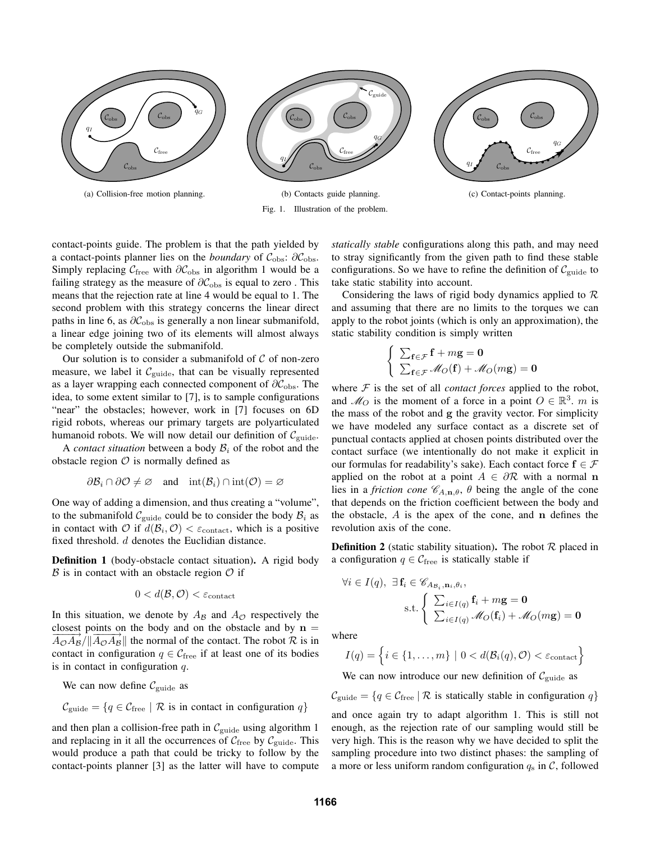

contact-points guide. The problem is that the path yielded by a contact-points planner lies on the *boundary* of  $C_{\text{obs}}$ :  $\partial C_{\text{obs}}$ . Simply replacing  $C_{\text{free}}$  with  $\partial C_{\text{obs}}$  in algorithm 1 would be a failing strategy as the measure of  $\partial C_{\rm obs}$  is equal to zero. This means that the rejection rate at line 4 would be equal to 1. The second problem with this strategy concerns the linear direct paths in line 6, as  $\partial \mathcal{C}_{\mathrm{obs}}$  is generally a non linear submanifold, a linear edge joining two of its elements will almost always be completely outside the submanifold.

Our solution is to consider a submanifold of  $\mathcal C$  of non-zero measure, we label it  $C_{\text{guide}}$ , that can be visually represented as a layer wrapping each connected component of  $\partial \mathcal{C}_{\mathrm{obs}}$ . The idea, to some extent similar to [7], is to sample configurations "near" the obstacles; however, work in [7] focuses on 6D rigid robots, whereas our primary targets are polyarticulated humanoid robots. We will now detail our definition of  $C_{\text{guide}}$ .

A *contact situation* between a body  $B_i$  of the robot and the obstacle region  $\mathcal O$  is normally defined as

$$
\partial \mathcal{B}_i \cap \partial \mathcal{O} \neq \varnothing \quad \text{and} \quad \mathrm{int}(\mathcal{B}_i) \cap \mathrm{int}(\mathcal{O}) = \varnothing
$$

One way of adding a dimension, and thus creating a "volume", to the submanifold  $\mathcal{C}_{\text{guide}}$  could be to consider the body  $\mathcal{B}_i$  as in contact with  $\mathcal O$  if  $d(\mathcal B_i,\mathcal O) < \varepsilon_{\mathrm{contact}}$ , which is a positive fixed threshold.  $d$  denotes the Euclidian distance.

**Definition 1** (body-obstacle contact situation)**.** A rigid body  $\beta$  is in contact with an obstacle region  $\mathcal O$  if

$$
0 < d(\mathcal{B}, \mathcal{O}) < \varepsilon_{\text{contact}}
$$

In this situation, we denote by  $A_{\mathcal{B}}$  and  $A_{\mathcal{O}}$  respectively the closest points on the body and on the obstacle and by  $\mathbf{n} = \overline{A_O A_B}/\|\overline{A_O A_B}\|$  the normal of the contact. The robot  $\mathcal R$  is in contact in configuration  $q \in \mathcal{C}_{\text{free}}$  if at least one of its bodies is in contact in configuration  $q$ .

We can now define  $\mathcal{C}_{\text{guide}}$  as

$$
\mathcal{C}_{\text{guide}} = \{q \in \mathcal{C}_{\text{free}} \mid \mathcal{R} \text{ is in contact in configuration } q\}
$$

and then plan a collision-free path in  $C_{\text{guide}}$  using algorithm 1 and replacing in it all the occurrences of  $C_{\text{free}}$  by  $C_{\text{guide}}$ . This would produce a path that could be tricky to follow by the contact-points planner [3] as the latter will have to compute *statically stable* configurations along this path, and may need to stray significantly from the given path to find these stable configurations. So we have to refine the definition of  $C_{\text{guide}}$  to take static stability into account.

Considering the laws of rigid body dynamics applied to  $\mathcal R$ and assuming that there are no limits to the torques we can apply to the robot joints (which is only an approximation), the static stability condition is simply written

$$
\begin{cases} \sum_{\mathbf{f} \in \mathcal{F}} \mathbf{f} + m\mathbf{g} = \mathbf{0} \\ \sum_{\mathbf{f} \in \mathcal{F}} \mathcal{M}_O(\mathbf{f}) + \mathcal{M}_O(m\mathbf{g}) = \mathbf{0} \end{cases}
$$

where F is the set of all *contact forces* applied to the robot, and  $\mathcal{M}_O$  is the moment of a force in a point  $O \in \mathbb{R}^3$ . m is the mass of the robot and g the gravity vector. For simplicity we have modeled any surface contact as a discrete set of punctual contacts applied at chosen points distributed over the contact surface (we intentionally do not make it explicit in our formulas for readability's sake). Each contact force  $f \in \mathcal{F}$ applied on the robot at a point  $A \in \partial \mathcal{R}$  with a normal n lies in a *friction cone*  $\mathcal{C}_{A,n,\theta}$ ,  $\theta$  being the angle of the cone that depends on the friction coefficient between the body and the obstacle, A is the apex of the cone, and n defines the revolution axis of the cone.

**Definition 2** (static stability situation). The robot  $\mathcal{R}$  placed in a configuration  $q \in \mathcal{C}_{\text{free}}$  is statically stable if

$$
\forall i \in I(q), \ \exists \mathbf{f}_i \in \mathscr{C}_{A_{\mathcal{B}_i}, \mathbf{n}_i, \theta_i},
$$
  
s.t. 
$$
\begin{cases} \sum_{i \in I(q)} \mathbf{f}_i + m\mathbf{g} = \mathbf{0} \\ \sum_{i \in I(q)} \mathscr{M}_O(\mathbf{f}_i) + \mathscr{M}_O(m\mathbf{g}) = \mathbf{0} \end{cases}
$$

where

$$
I(q) = \left\{ i \in \{1, \ldots, m\} \mid 0 < d(\mathcal{B}_i(q), \mathcal{O}) < \varepsilon_{\text{contact}} \right\}
$$

We can now introduce our new definition of  $C_{\text{guide}}$  as

 $\mathcal{C}_{\text{single}} = \{q \in \mathcal{C}_{\text{free}} | \mathcal{R} \text{ is statistically stable in configuration } q\}$ 

and once again try to adapt algorithm 1. This is still not enough, as the rejection rate of our sampling would still be very high. This is the reason why we have decided to split the sampling procedure into two distinct phases: the sampling of a more or less uniform random configuration  $q_s$  in  $\mathcal{C}$ , followed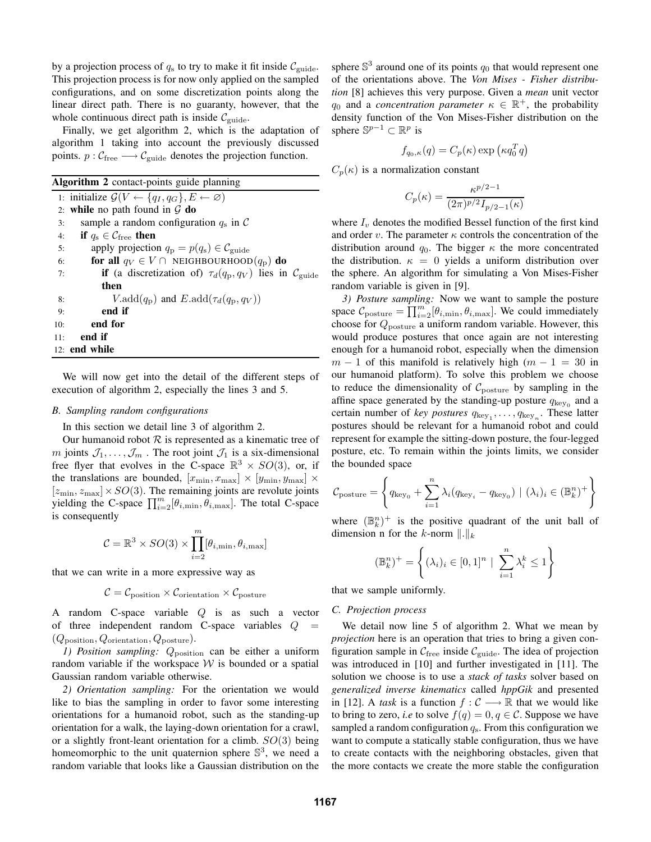by a projection process of  $q_s$  to try to make it fit inside  $\mathcal{C}_{\text{guide}}$ . This projection process is for now only applied on the sampled configurations, and on some discretization points along the linear direct path. There is no guaranty, however, that the whole continuous direct path is inside  $\mathcal{C}_{\text{guide}}$ .

Finally, we get algorithm 2, which is the adaptation of algorithm 1 taking into account the previously discussed points.  $p: \mathcal{C}_{\text{free}} \longrightarrow \mathcal{C}_{\text{guide}}$  denotes the projection function.

| <b>Algorithm 2</b> contact-points guide planning |                                                                                         |  |  |
|--------------------------------------------------|-----------------------------------------------------------------------------------------|--|--|
|                                                  | 1: initialize $\mathcal{G}(V \leftarrow \{q_I, q_G\}, E \leftarrow \emptyset)$          |  |  |
|                                                  | 2: while no path found in $G$ do                                                        |  |  |
| 3:                                               | sample a random configuration $q_s$ in C                                                |  |  |
| 4:                                               | if $q_s \in \mathcal{C}_{\text{free}}$ then                                             |  |  |
| 5:                                               | apply projection $q_p = p(q_s) \in C_{\text{guide}}$                                    |  |  |
| 6:                                               | for all $q_V \in V \cap$ NEIGHBOURHOOD $(q_p)$ do                                       |  |  |
| 7:                                               | <b>if</b> (a discretization of) $\tau_d(q_p, q_V)$ lies in $\mathcal{C}_{\text{guide}}$ |  |  |
|                                                  | then                                                                                    |  |  |
| 8:                                               | $V \cdot \text{add}(q_{\text{p}})$ and $E \cdot \text{add}(\tau_d(q_{\text{p}}, q_V))$  |  |  |
| 9:                                               | end if                                                                                  |  |  |
| 10:                                              | end for                                                                                 |  |  |
| 11:                                              | end if                                                                                  |  |  |
|                                                  | $12:$ end while                                                                         |  |  |

We will now get into the detail of the different steps of execution of algorithm 2, especially the lines 3 and 5.

## *B. Sampling random configurations*

In this section we detail line 3 of algorithm 2.

Our humanoid robot  $R$  is represented as a kinematic tree of m joints  $\mathcal{J}_1, \ldots, \mathcal{J}_m$ . The root joint  $\mathcal{J}_1$  is a six-dimensional free flyer that evolves in the C-space  $\mathbb{R}^3 \times SO(3)$ , or, if the translations are bounded,  $[x_{\min}, x_{\max}] \times [y_{\min}, y_{\max}] \times$  $[z_{\text{min}}, z_{\text{max}}] \times SO(3)$ . The remaining joints are revolute joints yielding the C-space  $\prod_{i=2}^{m} [\theta_{i,\text{min}}, \theta_{i,\text{max}}]$ . The total C-space is consequently

$$
C = \mathbb{R}^3 \times SO(3) \times \prod_{i=2}^{m} [\theta_{i,\min}, \theta_{i,\max}]
$$

that we can write in a more expressive way as

$$
\mathcal{C} = \mathcal{C}_{\text{position}} \times \mathcal{C}_{\text{orientation}} \times \mathcal{C}_{\text{posture}}
$$

A random C-space variable Q is as such a vector of three independent random C-space variables  $Q =$  $(Q_{\text{position}}, Q_{\text{orientation}}, Q_{\text{posture}}).$ 

*1) Position sampling:*  $Q_{\text{position}}$  can be either a uniform random variable if the workspace  $W$  is bounded or a spatial Gaussian random variable otherwise.

*2) Orientation sampling:* For the orientation we would like to bias the sampling in order to favor some interesting orientations for a humanoid robot, such as the standing-up orientation for a walk, the laying-down orientation for a crawl, or a slightly front-leant orientation for a climb.  $SO(3)$  being homeomorphic to the unit quaternion sphere  $\mathbb{S}^3$ , we need a random variable that looks like a Gaussian distribution on the

sphere  $\mathbb{S}^3$  around one of its points  $q_0$  that would represent one of the orientations above. The *Von Mises - Fisher distribution* [8] achieves this very purpose. Given a *mean* unit vector  $q_0$  and a *concentration parameter*  $\kappa \in \mathbb{R}^+$ , the probability density function of the Von Mises-Fisher distribution on the sphere  $\mathbb{S}^{p-1} \subset \mathbb{R}^p$  is

$$
f_{q_0,\kappa}(q) = C_p(\kappa) \exp\left(\kappa q_0^T q\right)
$$

 $C_p(\kappa)$  is a normalization constant

$$
C_p(\kappa) = \frac{\kappa^{p/2 - 1}}{(2\pi)^{p/2} I_{p/2 - 1}(\kappa)}
$$

where  $I_v$  denotes the modified Bessel function of the first kind and order v. The parameter  $\kappa$  controls the concentration of the distribution around  $q_0$ . The bigger  $\kappa$  the more concentrated the distribution.  $\kappa = 0$  yields a uniform distribution over the sphere. An algorithm for simulating a Von Mises-Fisher random variable is given in [9].

*3) Posture sampling:* Now we want to sample the posture space  $\mathcal{C}_{\text{posture}} = \prod_{i=2}^{m} [\theta_{i,\text{min}}, \theta_{i,\text{max}}]$ . We could immediately choose for  $Q_{\text{posture}}$  a uniform random variable. However, this would produce postures that once again are not interesting enough for a humanoid robot, especially when the dimension  $m-1$  of this manifold is relatively high  $(m-1=30$  in our humanoid platform). To solve this problem we choose to reduce the dimensionality of  $C_{\text{posture}}$  by sampling in the affine space generated by the standing-up posture  $q_{\text{key}_0}$  and a certain number of *key postures*  $q_{\text{key}_1}, \ldots, q_{\text{key}_n}$ . These latter postures should be relevant for a humanoid robot and could represent for example the sitting-down posture, the four-legged posture, etc. To remain within the joints limits, we consider the bounded space

$$
\mathcal{C}_{\text{posture}} = \left\{ q_{\text{key}_0} + \sum_{i=1}^n \lambda_i (q_{\text{key}_i} - q_{\text{key}_0}) \mid (\lambda_i)_i \in (\mathbb{B}_k^n)^+ \right\}
$$

where  $(\mathbb{B}_{k}^{n})^{+}$  is the positive quadrant of the unit ball of dimension n for the k-norm  $\Vert . \Vert_k$ 

$$
(\mathbb{B}_k^n)^+ = \left\{ (\lambda_i)_i \in [0,1]^n \mid \sum_{i=1}^n \lambda_i^k \le 1 \right\}
$$

that we sample uniformly.

#### *C. Projection process*

We detail now line 5 of algorithm 2. What we mean by *projection* here is an operation that tries to bring a given configuration sample in  $C_{\text{free}}$  inside  $C_{\text{guide}}$ . The idea of projection was introduced in [10] and further investigated in [11]. The solution we choose is to use a *stack of tasks* solver based on *generalized inverse kinematics* called *hppGik* and presented in [12]. A *task* is a function  $f: \mathcal{C} \longrightarrow \mathbb{R}$  that we would like to bring to zero, *i.e* to solve  $f(q) = 0, q \in \mathcal{C}$ . Suppose we have sampled a random configuration  $q_s$ . From this configuration we want to compute a statically stable configuration, thus we have to create contacts with the neighboring obstacles, given that the more contacts we create the more stable the configuration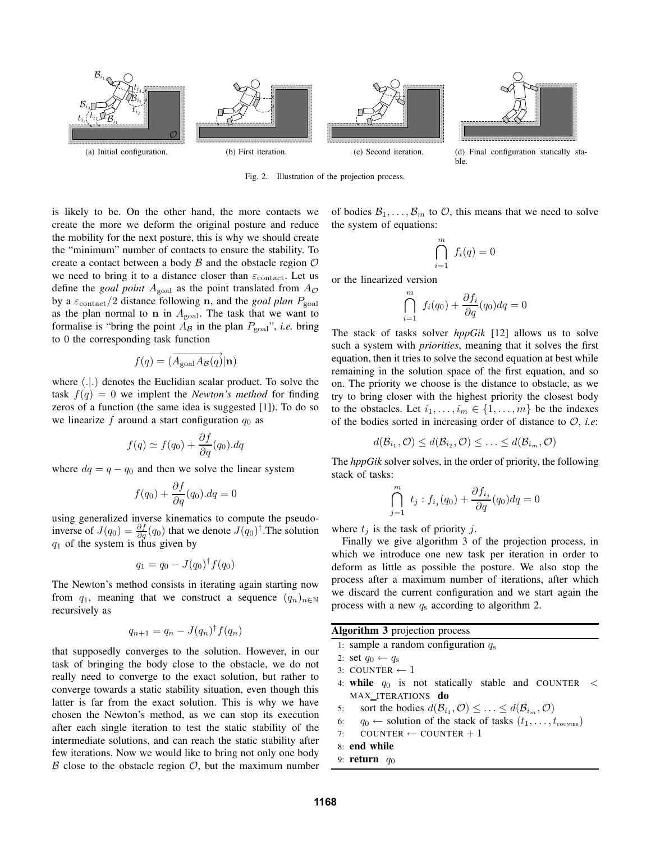

Fig. 2. Illustration of the projection process.

is likely to be. On the other hand, the more contacts we create the more we deform the original posture and reduce the mobility for the next posture, this is why we should create the "minimum" number of contacts to ensure the stability. To create a contact between a body  $\beta$  and the obstacle region  $\mathcal O$ we need to bring it to a distance closer than  $\varepsilon$ <sub>contact</sub>. Let us define the *goal point*  $A_{\text{goal}}$  as the point translated from  $A_{\mathcal{O}}$ by a  $\varepsilon$ <sub>contact</sub>/2 distance following n, and the *goal plan*  $P_{\text{goal}}$ as the plan normal to  $n$  in  $A_{\text{goal}}$ . The task that we want to formalise is "bring the point  $A_{\mathcal{B}}$  in the plan  $P_{\text{goal}}$ ", *i.e.* bring to 0 the corresponding task function

$$
f(q) = (\overrightarrow{A_{\text{goal}} A_{\mathcal{B}}(q)} | \mathbf{n})
$$

where (.|.) denotes the Euclidian scalar product. To solve the task  $f(q) = 0$  we implent the *Newton's method* for finding zeros of a function (the same idea is suggested [1]). To do so we linearize f around a start configuration  $q_0$  as

$$
f(q) \simeq f(q_0) + \frac{\partial f}{\partial q}(q_0).dq
$$

where  $dq = q - q_0$  and then we solve the linear system

$$
f(q_0) + \frac{\partial f}{\partial q}(q_0).dq = 0
$$

using generalized inverse kinematics to compute the pseudoinverse of  $J(q_0) = \frac{\partial f}{\partial q}(q_0)$  that we denote  $J(q_0)^\dagger$ . The solution  $q_1$  of the system is thus given by

$$
q_1 = q_0 - J(q_0)^{\dagger} f(q_0)
$$

The Newton's method consists in iterating again starting now from  $q_1$ , meaning that we construct a sequence  $(q_n)_{n\in\mathbb{N}}$ recursively as

$$
q_{n+1} = q_n - J(q_n)^{\dagger} f(q_n)
$$

that supposedly converges to the solution. However, in our task of bringing the body close to the obstacle, we do not really need to converge to the exact solution, but rather to converge towards a static stability situation, even though this latter is far from the exact solution. This is why we have chosen the Newton's method, as we can stop its execution after each single iteration to test the static stability of the intermediate solutions, and can reach the static stability after few iterations. Now we would like to bring not only one body  $\beta$  close to the obstacle region  $\mathcal{O}$ , but the maximum number of bodies  $\mathcal{B}_1, \ldots, \mathcal{B}_m$  to  $\mathcal{O}$ , this means that we need to solve the system of equations:

$$
\bigcap_{i=1}^{m} f_i(q) = 0
$$

or the linearized version

$$
\bigcap_{i=1}^{m} f_i(q_0) + \frac{\partial f_i}{\partial q}(q_0) dq = 0
$$

The stack of tasks solver *hppGik* [12] allows us to solve such a system with *priorities*, meaning that it solves the first equation, then it tries to solve the second equation at best while remaining in the solution space of the first equation, and so on. The priority we choose is the distance to obstacle, as we try to bring closer with the highest priority the closest body to the obstacles. Let  $i_1, \ldots, i_m \in \{1, \ldots, m\}$  be the indexes of the bodies sorted in increasing order of distance to O, *i.e*:

$$
d(\mathcal{B}_{i_1}, \mathcal{O}) \leq d(\mathcal{B}_{i_2}, \mathcal{O}) \leq \ldots \leq d(\mathcal{B}_{i_m}, \mathcal{O})
$$

The *hppGik* solver solves, in the order of priority, the following stack of tasks:

$$
\bigcap_{j=1}^{m} t_j : f_{i_j}(q_0) + \frac{\partial f_{i_j}}{\partial q}(q_0) dq = 0
$$

where  $t_j$  is the task of priority j.

Finally we give algorithm 3 of the projection process, in which we introduce one new task per iteration in order to deform as little as possible the posture. We also stop the process after a maximum number of iterations, after which we discard the current configuration and we start again the process with a new  $q_s$  according to algorithm 2.

| <b>Algorithm 3</b> projection process |                                                                                                        |  |  |
|---------------------------------------|--------------------------------------------------------------------------------------------------------|--|--|
|                                       | 1: sample a random configuration $q_s$                                                                 |  |  |
|                                       | 2: set $q_0 \leftarrow q_s$                                                                            |  |  |
|                                       | 3: COUNTER $\leftarrow$ 1                                                                              |  |  |
|                                       | 4: while $q_0$ is not statically stable and COUNTER $\lt$                                              |  |  |
|                                       | MAX ITERATIONS do                                                                                      |  |  |
| 5:                                    | sort the bodies $d(\mathcal{B}_{i_1}, \mathcal{O}) \leq \ldots \leq d(\mathcal{B}_{i_m}, \mathcal{O})$ |  |  |
|                                       | 6: $q_0 \leftarrow$ solution of the stack of tasks $(t_1, \ldots, t_{\text{course}})$                  |  |  |
| 7:                                    | COUNTER $\leftarrow$ COUNTER $+$ 1                                                                     |  |  |
|                                       | 8: end while                                                                                           |  |  |
|                                       | 9: return $q_0$                                                                                        |  |  |
|                                       |                                                                                                        |  |  |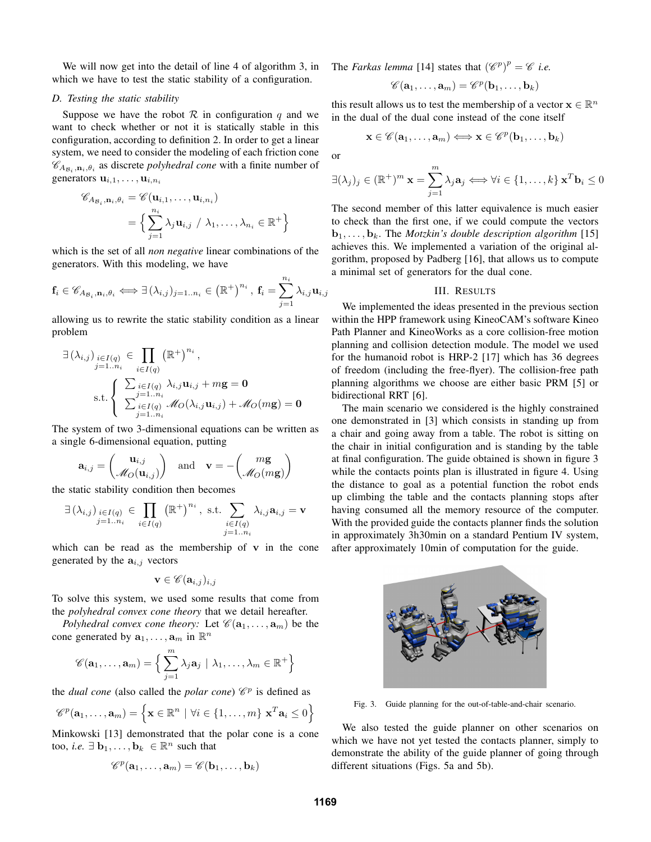We will now get into the detail of line 4 of algorithm 3, in which we have to test the static stability of a configuration.

# *D. Testing the static stability*

Suppose we have the robot  $\mathcal R$  in configuration q and we want to check whether or not it is statically stable in this configuration, according to definition 2. In order to get a linear system, we need to consider the modeling of each friction cone  $\mathscr{C}_{A_{\mathcal{B}_i},\mathbf{n}_i,\theta_i}$  as discrete *polyhedral cone* with a finite number of generators  $\mathbf{u}_{i,1}, \ldots, \mathbf{u}_{i,n_i}$ 

$$
\mathscr{C}_{A_{\mathcal{B}_i}, \mathbf{n}_i, \theta_i} = \mathscr{C}(\mathbf{u}_{i,1}, \dots, \mathbf{u}_{i,n_i})
$$

$$
= \Big\{ \sum_{j=1}^{n_i} \lambda_j \mathbf{u}_{i,j} / \lambda_1, \dots, \lambda_{n_i} \in \mathbb{R}^+ \Big\}
$$

which is the set of all *non negative* linear combinations of the generators. With this modeling, we have

$$
\mathbf{f}_i \in \mathscr{C}_{A_{\mathcal{B}_i}, \mathbf{n}_i, \theta_i} \Longleftrightarrow \exists \left(\lambda_{i,j}\right)_{j=1..n_i} \in \left(\mathbb{R}^+\right)^{n_i}, \ \mathbf{f}_i = \sum_{j=1}^{n_i} \lambda_{i,j} \mathbf{u}_{i,j}
$$

allowing us to rewrite the static stability condition as a linear problem

$$
\exists (\lambda_{i,j})_{\substack{i \in I(q) \\ j=1..n_i}} \in \prod_{i \in I(q)} (\mathbb{R}^+)^{n_i},
$$
\n
$$
\text{s.t.} \left\{ \begin{array}{l} \sum_{i \in I(q)} \lambda_{i,j} \mathbf{u}_{i,j} + m\mathbf{g} = \mathbf{0} \\ \sum_{j=1..n_i} \lambda_{i,j} \mathbf{u}_{i,j} + \mathcal{M}_O(m\mathbf{g}) = \mathbf{0} \\ \sum_{j=1..n_i} \mathcal{M}_O(\lambda_{i,j} \mathbf{u}_{i,j}) + \mathcal{M}_O(m\mathbf{g}) = \mathbf{0} \end{array} \right.
$$

The system of two 3-dimensional equations can be written as a single 6-dimensional equation, putting

$$
\mathbf{a}_{i,j} = \begin{pmatrix} \mathbf{u}_{i,j} \\ \mathscr{M}_O(\mathbf{u}_{i,j}) \end{pmatrix} \quad \text{and} \quad \mathbf{v} = -\begin{pmatrix} m\mathbf{g} \\ \mathscr{M}_O(m\mathbf{g}) \end{pmatrix}
$$

the static stability condition then becomes

$$
\exists (\lambda_{i,j})_{\substack{i \in I(q) \\ j=1..n_i}} \in \prod_{i \in I(q)} (\mathbb{R}^+)^{n_i}, \text{ s.t. } \sum_{\substack{i \in I(q) \\ j=1..n_i}} \lambda_{i,j} \mathbf{a}_{i,j} = \mathbf{v}
$$

which can be read as the membership of  $v$  in the cone generated by the  $a_{i,j}$  vectors

$$
\mathbf{v}\in\mathscr{C}(\mathbf{a}_{i,j})_{i,j}
$$

To solve this system, we used some results that come from the *polyhedral convex cone theory* that we detail hereafter.

*Polyhedral convex cone theory:* Let  $\mathscr{C}(\mathbf{a}_1, \dots, \mathbf{a}_m)$  be the cone generated by  $\mathbf{a}_1, \dots, \mathbf{a}_m$  in  $\mathbb{R}^n$ 

$$
\mathscr{C}(\mathbf{a}_1,\ldots,\mathbf{a}_m)=\Big\{\sum_{j=1}^m\lambda_j\mathbf{a}_j\,\mid\,\lambda_1,\ldots,\lambda_m\in\mathbb{R}^+\Big\}
$$

the *dual cone* (also called the *polar cone*)  $\mathcal{C}^p$  is defined as

$$
\mathscr{C}^p(\mathbf{a}_1,\ldots,\mathbf{a}_m)=\left\{\mathbf{x}\in\mathbb{R}^n\mid\forall i\in\{1,\ldots,m\}\;\mathbf{x}^T\mathbf{a}_i\leq 0\right\}
$$

Minkowski [13] demonstrated that the polar cone is a cone too, *i.e.*  $\exists$  **b**<sub>1</sub>, ..., **b**<sub>k</sub>  $\in \mathbb{R}^n$  such that

$$
\mathscr{C}^p(\mathbf{a}_1,\ldots,\mathbf{a}_m)=\mathscr{C}(\mathbf{b}_1,\ldots,\mathbf{b}_k)
$$

The *Farkas lemma* [14] states that  $(\mathcal{C}^p)^p = \mathcal{C}$  *i.e.* 

$$
\mathscr{C}(\mathbf{a}_1,\ldots,\mathbf{a}_m)=\mathscr{C}^p(\mathbf{b}_1,\ldots,\mathbf{b}_k)
$$

this result allows us to test the membership of a vector  $\mathbf{x} \in \mathbb{R}^n$ in the dual of the dual cone instead of the cone itself

$$
\mathbf{x} \in \mathscr{C}(\mathbf{a}_1, \dots, \mathbf{a}_m) \Longleftrightarrow \mathbf{x} \in \mathscr{C}^p(\mathbf{b}_1, \dots, \mathbf{b}_k)
$$

or

$$
\exists (\lambda_j)_j \in (\mathbb{R}^+)^m \mathbf{x} = \sum_{j=1}^m \lambda_j \mathbf{a}_j \Longleftrightarrow \forall i \in \{1, \dots, k\} \mathbf{x}^T \mathbf{b}_i \le 0
$$

The second member of this latter equivalence is much easier to check than the first one, if we could compute the vectors  **The** *Motzkin's double description algorithm* **[15]** achieves this. We implemented a variation of the original algorithm, proposed by Padberg [16], that allows us to compute a minimal set of generators for the dual cone.

#### III. RESULTS

We implemented the ideas presented in the previous section within the HPP framework using KineoCAM's software Kineo Path Planner and KineoWorks as a core collision-free motion planning and collision detection module. The model we used for the humanoid robot is HRP-2 [17] which has 36 degrees of freedom (including the free-flyer). The collision-free path planning algorithms we choose are either basic PRM [5] or bidirectional RRT [6].

The main scenario we considered is the highly constrained one demonstrated in [3] which consists in standing up from a chair and going away from a table. The robot is sitting on the chair in initial configuration and is standing by the table at final configuration. The guide obtained is shown in figure 3 while the contacts points plan is illustrated in figure 4. Using the distance to goal as a potential function the robot ends up climbing the table and the contacts planning stops after having consumed all the memory resource of the computer. With the provided guide the contacts planner finds the solution in approximately 3h30min on a standard Pentium IV system, after approximately 10min of computation for the guide.



Fig. 3. Guide planning for the out-of-table-and-chair scenario.

We also tested the guide planner on other scenarios on which we have not yet tested the contacts planner, simply to demonstrate the ability of the guide planner of going through different situations (Figs. 5a and 5b).